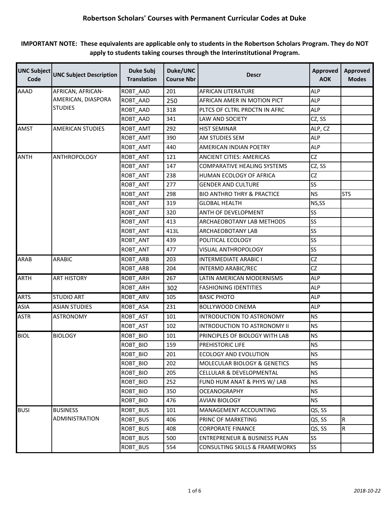**IMPORTANT NOTE: These equivalents are applicable only to students in the Robertson Scholars Program. They do NOT apply to students taking courses through the Interinstitutional Program.** 

| <b>UNC Subject</b><br>Code | <b>UNC Subject Description</b> | <b>Duke Subj</b><br><b>Translation</b> | Duke/UNC<br><b>Course Nbr</b> | <b>Descr</b>                          | <b>Approved</b><br><b>AOK</b> | <b>Approved</b><br><b>Modes</b> |
|----------------------------|--------------------------------|----------------------------------------|-------------------------------|---------------------------------------|-------------------------------|---------------------------------|
| <b>AAAD</b>                | AFRICAN, AFRICAN-              | ROBT_AAD                               | 201                           | <b>AFRICAN LITERATURE</b>             | <b>ALP</b>                    |                                 |
|                            | AMERICAN, DIASPORA             | ROBT_AAD                               | 250                           | AFRICAN AMER IN MOTION PICT           | <b>ALP</b>                    |                                 |
|                            | <b>STUDIES</b>                 | ROBT_AAD                               | 318                           | PLTCS OF CLTRL PRDCTN IN AFRC         | <b>ALP</b>                    |                                 |
|                            |                                | ROBT_AAD                               | 341                           | LAW AND SOCIETY                       | CZ, SS                        |                                 |
| <b>AMST</b>                | <b>AMERICAN STUDIES</b>        | ROBT_AMT                               | 292                           | <b>HIST SEMINAR</b>                   | ALP, CZ                       |                                 |
|                            |                                | ROBT_AMT                               | 390                           | AM STUDIES SEM                        | <b>ALP</b>                    |                                 |
|                            |                                | ROBT AMT                               | 440                           | AMERICAN INDIAN POETRY                | ALP                           |                                 |
| <b>ANTH</b>                | ANTHROPOLOGY                   | ROBT ANT                               | 121                           | <b>ANCIENT CITIES: AMERICAS</b>       | <b>CZ</b>                     |                                 |
|                            |                                | ROBT_ANT                               | 147                           | <b>COMPARATIVE HEALING SYSTEMS</b>    | CZ, SS                        |                                 |
|                            |                                | ROBT_ANT                               | 238                           | HUMAN ECOLOGY OF AFRICA               | <b>CZ</b>                     |                                 |
|                            |                                | ROBT_ANT                               | 277                           | <b>GENDER AND CULTURE</b>             | SS                            |                                 |
|                            |                                | ROBT_ANT                               | 298                           | <b>BIO ANTHRO THRY &amp; PRACTICE</b> | <b>NS</b>                     | <b>STS</b>                      |
|                            |                                | ROBT_ANT                               | 319                           | <b>GLOBAL HEALTH</b>                  | NS,SS                         |                                 |
|                            |                                | ROBT_ANT                               | 320                           | ANTH OF DEVELOPMENT                   | SS                            |                                 |
|                            |                                | ROBT_ANT                               | 413                           | ARCHAEOBOTANY LAB METHODS             | SS                            |                                 |
|                            |                                | ROBT ANT                               | 413L                          | ARCHAEOBOTANY LAB                     | SS                            |                                 |
|                            |                                | ROBT_ANT                               | 439                           | POLITICAL ECOLOGY                     | SS                            |                                 |
|                            |                                | ROBT_ANT                               | 477                           | VISUAL ANTHROPOLOGY                   | SS                            |                                 |
| <b>ARAB</b>                | <b>ARABIC</b>                  | ROBT_ARB                               | 203                           | <b>INTERMEDIATE ARABIC I</b>          | <b>CZ</b>                     |                                 |
|                            |                                | ROBT_ARB                               | 204                           | INTERMD ARABIC/REC                    | <b>CZ</b>                     |                                 |
| <b>ARTH</b>                | <b>ART HISTORY</b>             | ROBT_ARH                               | 267                           | LATIN AMERICAN MODERNISMS             | <b>ALP</b>                    |                                 |
|                            |                                | ROBT_ARH                               | 302                           | <b>FASHIONING IDENTITIES</b>          | <b>ALP</b>                    |                                 |
| <b>ARTS</b>                | <b>STUDIO ART</b>              | ROBT_ARV                               | 105                           | <b>BASIC PHOTO</b>                    | <b>ALP</b>                    |                                 |
| <b>ASIA</b>                | <b>ASIAN STUDIES</b>           | ROBT_ASA                               | 231                           | <b>BOLLYWOOD CINEMA</b>               | <b>ALP</b>                    |                                 |
| <b>ASTR</b>                | <b>ASTRONOMY</b>               | ROBT_AST                               | 101                           | INTRODUCTION TO ASTRONOMY             | <b>NS</b>                     |                                 |
|                            |                                | ROBT_AST                               | 102                           | INTRODUCTION TO ASTRONOMY II          | <b>NS</b>                     |                                 |
| <b>BIOL</b>                | <b>BIOLOGY</b>                 | ROBT_BIO                               | 101                           | PRINCIPLES OF BIOLOGY WITH LAB        | <b>NS</b>                     |                                 |
|                            |                                | <b>ROBT BIO</b>                        | 159                           | PREHISTORIC LIFE                      | <b>NS</b>                     |                                 |
|                            |                                | ROBT_BIO                               | 201                           | ECOLOGY AND EVOLUTION                 | <b>NS</b>                     |                                 |
|                            |                                | ROBT_BIO                               | 202                           | MOLECULAR BIOLOGY & GENETICS          | <b>NS</b>                     |                                 |
|                            |                                | ROBT BIO                               | 205                           | CELLULAR & DEVELOPMENTAL              | <b>NS</b>                     |                                 |
|                            |                                | ROBT_BIO                               | 252                           | FUND HUM ANAT & PHYS W/ LAB           | NS.                           |                                 |
|                            |                                | ROBT_BIO                               | 350                           | <b>OCEANOGRAPHY</b>                   | <b>NS</b>                     |                                 |
|                            |                                | ROBT BIO                               | 476                           | AVIAN BIOLOGY                         | <b>NS</b>                     |                                 |
| <b>BUSI</b>                | <b>BUSINESS</b>                | ROBT_BUS                               | 101                           | MANAGEMENT ACCOUNTING                 | QS, SS                        |                                 |
|                            | ADMINISTRATION                 | ROBT BUS                               | 406                           | PRINC OF MARKETING                    | QS, SS                        | $\mathsf R$                     |
|                            |                                | ROBT_BUS                               | 408                           | <b>CORPORATE FINANCE</b>              | QS, SS                        | $\overline{\mathsf{R}}$         |
|                            |                                | ROBT_BUS                               | 500                           | ENTREPRENEUR & BUSINESS PLAN          | SS                            |                                 |
|                            |                                | ROBT_BUS                               | 554                           | CONSULTING SKILLS & FRAMEWORKS        | SS                            |                                 |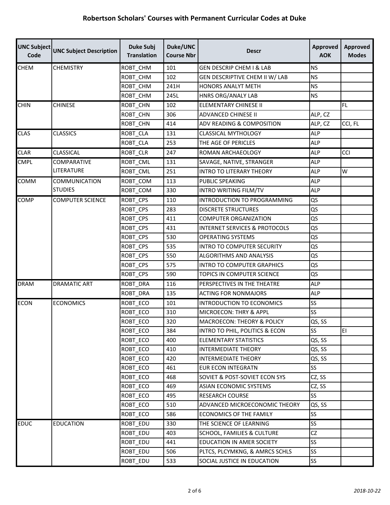| <b>UNC Subject</b><br>Code | <b>UNC Subject Description</b> | <b>Duke Subj</b><br><b>Translation</b> | Duke/UNC<br><b>Course Nbr</b> | <b>Descr</b>                             | <b>Approved</b><br><b>AOK</b> | <b>Approved</b><br><b>Modes</b> |
|----------------------------|--------------------------------|----------------------------------------|-------------------------------|------------------------------------------|-------------------------------|---------------------------------|
| <b>CHEM</b>                | <b>CHEMISTRY</b>               | ROBT_CHM                               | 101                           | <b>GEN DESCRIP CHEM I &amp; LAB</b>      | <b>NS</b>                     |                                 |
|                            |                                | ROBT CHM                               | 102                           | GEN DESCRIPTIVE CHEM II W/ LAB           | <b>NS</b>                     |                                 |
|                            |                                | ROBT CHM                               | 241H                          | <b>HONORS ANALYT METH</b>                | <b>NS</b>                     |                                 |
|                            |                                | ROBT_CHM                               | 245L                          | HNRS ORG/ANALY LAB                       | <b>NS</b>                     |                                 |
| <b>CHIN</b>                | <b>CHINESE</b>                 | ROBT_CHN                               | 102                           | ELEMENTARY CHINESE II                    |                               | FL.                             |
|                            |                                | ROBT_CHN                               | 306                           | ADVANCED CHINESE II                      | ALP, CZ                       |                                 |
|                            |                                | ROBT_CHN                               | 414                           | ADV READING & COMPOSITION                | ALP, CZ                       | CCI, FL                         |
| <b>CLAS</b>                | <b>CLASSICS</b>                | ROBT_CLA                               | 131                           | <b>CLASSICAL MYTHOLOGY</b>               | <b>ALP</b>                    |                                 |
|                            |                                | ROBT_CLA                               | 253                           | THE AGE OF PERICLES                      | <b>ALP</b>                    |                                 |
| <b>CLAR</b>                | <b>CLASSICAL</b>               | ROBT_CLR                               | 247                           | ROMAN ARCHAEOLOGY                        | <b>ALP</b>                    | CCI                             |
| <b>CMPL</b>                | COMPARATIVE                    | ROBT_CML                               | 131                           | SAVAGE, NATIVE, STRANGER                 | <b>ALP</b>                    |                                 |
|                            | LITERATURE                     | ROBT_CML                               | 251                           | <b>INTRO TO LITERARY THEORY</b>          | <b>ALP</b>                    | W                               |
| COMM                       | COMMUNICATION                  | ROBT_COM                               | 113                           | PUBLIC SPEAKING                          | <b>ALP</b>                    |                                 |
|                            | <b>STUDIES</b>                 | ROBT_COM                               | 330                           | INTRO WRITING FILM/TV                    | <b>ALP</b>                    |                                 |
| COMP                       | <b>COMPUTER SCIENCE</b>        | ROBT CPS                               | 110                           | INTRODUCTION TO PROGRAMMING              | QS                            |                                 |
|                            |                                | <b>ROBT CPS</b>                        | 283                           | <b>DISCRETE STRUCTURES</b>               | QS                            |                                 |
|                            |                                | ROBT_CPS                               | 411                           | <b>COMPUTER ORGANIZATION</b>             | QS                            |                                 |
|                            |                                | ROBT_CPS                               | 431                           | <b>INTERNET SERVICES &amp; PROTOCOLS</b> | QS                            |                                 |
|                            |                                | ROBT_CPS                               | 530                           | <b>OPERATING SYSTEMS</b>                 | QS                            |                                 |
|                            |                                | ROBT_CPS                               | 535                           | <b>INTRO TO COMPUTER SECURITY</b>        | QS                            |                                 |
|                            |                                | ROBT_CPS                               | 550                           | ALGORITHMS AND ANALYSIS                  | QS                            |                                 |
|                            |                                | ROBT_CPS                               | 575                           | <b>INTRO TO COMPUTER GRAPHICS</b>        | QS                            |                                 |
|                            |                                | ROBT_CPS                               | 590                           | TOPICS IN COMPUTER SCIENCE               | QS                            |                                 |
| <b>DRAM</b>                | <b>DRAMATIC ART</b>            | ROBT_DRA                               | 116                           | PERSPECTIVES IN THE THEATRE              | <b>ALP</b>                    |                                 |
|                            |                                | ROBT_DRA                               | 135                           | <b>ACTING FOR NONMAJORS</b>              | <b>ALP</b>                    |                                 |
| <b>ECON</b>                | <b>ECONOMICS</b>               | ROBT ECO                               | 101                           | <b>INTRODUCTION TO ECONOMICS</b>         | SS                            |                                 |
|                            |                                | ROBT ECO                               | 310                           | MICROECON: THRY & APPL                   | SS                            |                                 |
|                            |                                | <b>ROBT ECO</b>                        | 320                           | <b>MACROECON: THEORY &amp; POLICY</b>    | QS, SS                        |                                 |
|                            |                                | ROBT_ECO                               | 384                           | INTRO TO PHIL, POLITICS & ECON           | SS                            | EI                              |
|                            |                                | ROBT_ECO                               | 400                           | <b>ELEMENTARY STATISTICS</b>             | QS, SS                        |                                 |
|                            |                                | ROBT_ECO                               | 410                           | <b>INTERMEDIATE THEORY</b>               | QS, SS                        |                                 |
|                            |                                | ROBT_ECO                               | 420                           | <b>INTERMEDIATE THEORY</b>               | QS, SS                        |                                 |
|                            |                                | ROBT_ECO                               | 461                           | <b>EUR ECON INTEGRATN</b>                | SS                            |                                 |
|                            |                                | ROBT_ECO                               | 468                           | SOVIET & POST-SOVIET ECON SYS            | CZ, SS                        |                                 |
|                            |                                | ROBT_ECO                               | 469                           | ASIAN ECONOMIC SYSTEMS                   | CZ, SS                        |                                 |
|                            |                                | ROBT_ECO                               | 495                           | RESEARCH COURSE                          | <b>SS</b>                     |                                 |
|                            |                                | ROBT_ECO                               | 510                           | ADVANCED MICROECONOMIC THEORY            | QS, SS                        |                                 |
|                            |                                | ROBT_ECO                               | 586                           | ECONOMICS OF THE FAMILY                  | SS                            |                                 |
| <b>EDUC</b>                | <b>EDUCATION</b>               | ROBT_EDU                               | 330                           | THE SCIENCE OF LEARNING                  | <b>SS</b>                     |                                 |
|                            |                                | ROBT_EDU                               | 403                           | SCHOOL, FAMILIES & CULTURE               | CZ                            |                                 |
|                            |                                | ROBT_EDU                               | 441                           | EDUCATION IN AMER SOCIETY                | SS                            |                                 |
|                            |                                | ROBT_EDU                               | 506                           | PLTCS, PLCYMKNG, & AMRCS SCHLS           | <b>SS</b>                     |                                 |
|                            |                                | ROBT_EDU                               | 533                           | SOCIAL JUSTICE IN EDUCATION              | SS <sub>.</sub>               |                                 |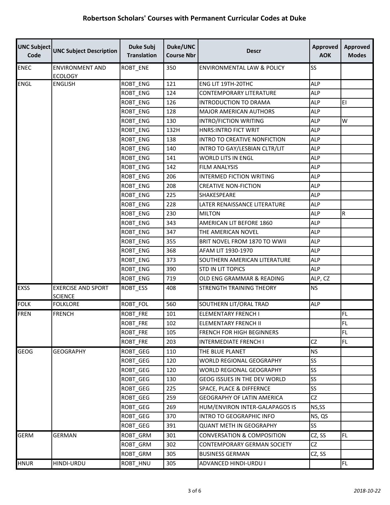| Code        | UNC Subject UNC Subject Description         | <b>Duke Subj</b><br><b>Translation</b> | Duke/UNC<br><b>Course Nbr</b> | <b>Descr</b>                          | <b>Approved</b><br><b>AOK</b> | <b>Approved</b><br><b>Modes</b> |
|-------------|---------------------------------------------|----------------------------------------|-------------------------------|---------------------------------------|-------------------------------|---------------------------------|
| <b>ENEC</b> | <b>ENVIRONMENT AND</b><br><b>ECOLOGY</b>    | ROBT_ENE                               | 350                           | <b>ENVIRONMENTAL LAW &amp; POLICY</b> | SS                            |                                 |
| <b>ENGL</b> | ENGLISH                                     | <b>ROBT ENG</b>                        | 121                           | ENG LIT 19TH-20THC                    | <b>ALP</b>                    |                                 |
|             |                                             | ROBT_ENG                               | 124                           | CONTEMPORARY LITERATURE               | <b>ALP</b>                    |                                 |
|             |                                             | ROBT_ENG                               | 126                           | <b>INTRODUCTION TO DRAMA</b>          | <b>ALP</b>                    | EL                              |
|             |                                             | ROBT ENG                               | 128                           | <b>MAJOR AMERICAN AUTHORS</b>         | <b>ALP</b>                    |                                 |
|             |                                             | <b>ROBT ENG</b>                        | 130                           | INTRO/FICTION WRITING                 | <b>ALP</b>                    | W                               |
|             |                                             | ROBT_ENG                               | 132H                          | <b>HNRS:INTRO FICT WRIT</b>           | <b>ALP</b>                    |                                 |
|             |                                             | <b>ROBT ENG</b>                        | 138                           | INTRO TO CREATIVE NONFICTION          | <b>ALP</b>                    |                                 |
|             |                                             | <b>ROBT ENG</b>                        | 140                           | INTRO TO GAY/LESBIAN CLTR/LIT         | <b>ALP</b>                    |                                 |
|             |                                             | ROBT_ENG                               | 141                           | WORLD LITS IN ENGL                    | <b>ALP</b>                    |                                 |
|             |                                             | ROBT_ENG                               | 142                           | <b>FILM ANALYSIS</b>                  | <b>ALP</b>                    |                                 |
|             |                                             | <b>ROBT ENG</b>                        | 206                           | INTERMED FICTION WRITING              | <b>ALP</b>                    |                                 |
|             |                                             | ROBT_ENG                               | 208                           | <b>CREATIVE NON-FICTION</b>           | <b>ALP</b>                    |                                 |
|             |                                             | ROBT_ENG                               | 225                           | <b>SHAKESPEARE</b>                    | <b>ALP</b>                    |                                 |
|             |                                             | <b>ROBT ENG</b>                        | 228                           | LATER RENAISSANCE LITERATURE          | <b>ALP</b>                    |                                 |
|             |                                             | ROBT_ENG                               | 230                           | <b>MILTON</b>                         | <b>ALP</b>                    | ${\sf R}$                       |
|             |                                             | <b>ROBT ENG</b>                        | 343                           | AMERICAN LIT BEFORE 1860              | <b>ALP</b>                    |                                 |
|             |                                             | ROBT_ENG                               | 347                           | THE AMERICAN NOVEL                    | <b>ALP</b>                    |                                 |
|             |                                             | ROBT_ENG                               | 355                           | BRIT NOVEL FROM 1870 TO WWII          | <b>ALP</b>                    |                                 |
|             |                                             | <b>ROBT ENG</b>                        | 368                           | AFAM LIT 1930-1970                    | <b>ALP</b>                    |                                 |
|             |                                             | ROBT ENG                               | 373                           | SOUTHERN AMERICAN LITERATURE          | <b>ALP</b>                    |                                 |
|             |                                             | ROBT_ENG                               | 390                           | <b>STD IN LIT TOPICS</b>              | <b>ALP</b>                    |                                 |
|             |                                             | ROBT_ENG                               | 719                           | OLD ENG GRAMMAR & READING             | ALP, CZ                       |                                 |
| <b>EXSS</b> | <b>EXERCISE AND SPORT</b><br><b>SCIENCE</b> | ROBT ESS                               | 408                           | STRENGTH TRAINING THEORY              | <b>NS</b>                     |                                 |
| <b>FOLK</b> | <b>FOLKLORE</b>                             | ROBT_FOL                               | 560                           | SOUTHERN LIT/ORAL TRAD                | <b>ALP</b>                    |                                 |
| <b>FREN</b> | <b>FRENCH</b>                               | ROBT_FRE                               | 101                           | <b>ELEMENTARY FRENCH I</b>            |                               | FL.                             |
|             |                                             | ROBT_FRE                               | 102                           | ELEMENTARY FRENCH II                  |                               | <b>FL</b>                       |
|             |                                             | ROBT_FRE                               | 105                           | <b>FRENCH FOR HIGH BEGINNERS</b>      |                               | FL.                             |
|             |                                             | ROBT_FRE                               | 203                           | INTERMEDIATE FRENCH I                 | CZ                            | <b>FL</b>                       |
| <b>GEOG</b> | <b>GEOGRAPHY</b>                            | ROBT_GEG                               | 110                           | THE BLUE PLANET                       | <b>NS</b>                     |                                 |
|             |                                             | ROBT_GEG                               | 120                           | WORLD REGIONAL GEOGRAPHY              | SS                            |                                 |
|             |                                             | ROBT_GEG                               | 120                           | WORLD REGIONAL GEOGRAPHY              | SS                            |                                 |
|             |                                             | ROBT_GEG                               | 130                           | GEOG ISSUES IN THE DEV WORLD          | SS                            |                                 |
|             |                                             | ROBT_GEG                               | 225                           | SPACE, PLACE & DIFFERNCE              | SS                            |                                 |
|             |                                             | ROBT_GEG                               | 259                           | <b>GEOGRAPHY OF LATIN AMERICA</b>     | CZ                            |                                 |
|             |                                             | ROBT_GEG                               | 269                           | HUM/ENVIRON INTER-GALAPAGOS IS        | NS,SS                         |                                 |
|             |                                             | ROBT_GEG                               | 370                           | INTRO TO GEOGRAPHIC INFO              | NS, QS                        |                                 |
|             |                                             | ROBT_GEG                               | 391                           | <b>QUANT METH IN GEOGRAPHY</b>        | SS                            |                                 |
| <b>GERM</b> | <b>GERMAN</b>                               | ROBT_GRM                               | 301                           | <b>CONVERSATION &amp; COMPOSITION</b> | CZ, SS                        | FL                              |
|             |                                             | ROBT_GRM                               | 302                           | CONTEMPORARY GERMAN SOCIETY           | CZ                            |                                 |
|             |                                             | ROBT_GRM                               | 305                           | <b>BUSINESS GERMAN</b>                | CZ, SS                        |                                 |
| <b>HNUR</b> | HINDI-URDU                                  | ROBT_HNU                               | 305                           | ADVANCED HINDI-URDU I                 |                               | FL                              |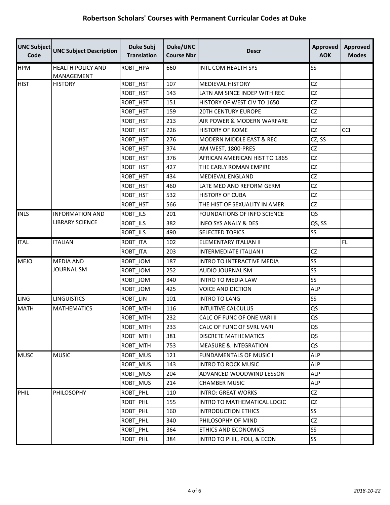| <b>UNC Subject</b><br>Code | <b>UNC Subject Description</b>         | <b>Duke Subj</b><br><b>Translation</b> | Duke/UNC<br><b>Course Nbr</b> | <b>Descr</b>                     | <b>Approved</b><br><b>AOK</b> | <b>Approved</b><br><b>Modes</b> |
|----------------------------|----------------------------------------|----------------------------------------|-------------------------------|----------------------------------|-------------------------------|---------------------------------|
| <b>HPM</b>                 | <b>HEALTH POLICY AND</b><br>MANAGEMENT | ROBT_HPA                               | 660                           | <b>INTL COM HEALTH SYS</b>       | SS                            |                                 |
| <b>HIST</b>                | <b>HISTORY</b>                         | ROBT_HST                               | 107                           | <b>MEDIEVAL HISTORY</b>          | CZ                            |                                 |
|                            |                                        | ROBT_HST                               | 143                           | LATN AM SINCE INDEP WITH REC     | <b>CZ</b>                     |                                 |
|                            |                                        | ROBT_HST                               | 151                           | HISTORY OF WEST CIV TO 1650      | <b>CZ</b>                     |                                 |
|                            |                                        | ROBT_HST                               | 159                           | <b>20TH CENTURY EUROPE</b>       | CZ                            |                                 |
|                            |                                        | ROBT_HST                               | 213                           | AIR POWER & MODERN WARFARE       | <b>CZ</b>                     |                                 |
|                            |                                        | ROBT_HST                               | 226                           | <b>HISTORY OF ROME</b>           | CZ                            | CCI                             |
|                            |                                        | ROBT_HST                               | 276                           | MODERN MIDDLE EAST & REC         | CZ, SS                        |                                 |
|                            |                                        | ROBT_HST                               | 374                           | AM WEST, 1800-PRES               | CZ                            |                                 |
|                            |                                        | ROBT_HST                               | 376                           | AFRICAN AMERICAN HIST TO 1865    | CZ                            |                                 |
|                            |                                        | ROBT_HST                               | 427                           | THE EARLY ROMAN EMPIRE           | CZ                            |                                 |
|                            |                                        | ROBT_HST                               | 434                           | MEDIEVAL ENGLAND                 | <b>CZ</b>                     |                                 |
|                            |                                        | ROBT_HST                               | 460                           | LATE MED AND REFORM GERM         | <b>CZ</b>                     |                                 |
|                            |                                        | ROBT_HST                               | 532                           | <b>HISTORY OF CUBA</b>           | CZ                            |                                 |
|                            |                                        | ROBT_HST                               | 566                           | THE HIST OF SEXUALITY IN AMER    | CZ                            |                                 |
| <b>INLS</b>                | <b>INFORMATION AND</b>                 | ROBT_ILS                               | 201                           | FOUNDATIONS OF INFO SCIENCE      | QS                            |                                 |
|                            | <b>LIBRARY SCIENCE</b>                 | ROBT_ILS                               | 382                           | <b>INFO SYS ANALY &amp; DES</b>  | QS, SS                        |                                 |
|                            |                                        | ROBT_ILS                               | 490                           | <b>SELECTED TOPICS</b>           | SS                            |                                 |
| <b>ITAL</b>                | <b>ITALIAN</b>                         | ROBT_ITA                               | 102                           | ELEMENTARY ITALIAN II            |                               | FL.                             |
|                            |                                        | ROBT_ITA                               | 203                           | <b>INTERMEDIATE ITALIAN I</b>    | CZ                            |                                 |
| <b>MEJO</b>                | MEDIA AND                              | ROBT_JOM                               | 187                           | INTRO TO INTERACTIVE MEDIA       | SS                            |                                 |
|                            | <b>JOURNALISM</b>                      | ROBT_JOM                               | 252                           | AUDIO JOURNALISM                 | SS                            |                                 |
|                            |                                        | ROBT JOM                               | 340                           | <b>INTRO TO MEDIA LAW</b>        | SS                            |                                 |
|                            |                                        | ROBT_JOM                               | 425                           | <b>VOICE AND DICTION</b>         | <b>ALP</b>                    |                                 |
| <b>LING</b>                | <b>LINGUISTICS</b>                     | ROBT_LIN                               | 101                           | <b>INTRO TO LANG</b>             | SS                            |                                 |
| <b>MATH</b>                | <b>MATHEMATICS</b>                     | ROBT_MTH                               | 116                           | <b>INTUITIVE CALCULUS</b>        | QS                            |                                 |
|                            |                                        | ROBT_MTH                               | 232                           | CALC OF FUNC OF ONE VARI II      | QS                            |                                 |
|                            |                                        | ROBT_MTH                               | 233                           | CALC OF FUNC OF SVRL VARI        | QS                            |                                 |
|                            |                                        | ROBT_MTH                               | 381                           | <b>DISCRETE MATHEMATICS</b>      | QS                            |                                 |
|                            |                                        | ROBT_MTH                               | 753                           | <b>MEASURE &amp; INTEGRATION</b> | QS                            |                                 |
| <b>MUSC</b>                | <b>MUSIC</b>                           | ROBT_MUS                               | 121                           | FUNDAMENTALS OF MUSIC I          | <b>ALP</b>                    |                                 |
|                            |                                        | ROBT_MUS                               | 143                           | <b>INTRO TO ROCK MUSIC</b>       | <b>ALP</b>                    |                                 |
|                            |                                        | ROBT_MUS                               | 204                           | ADVANCED WOODWIND LESSON         | <b>ALP</b>                    |                                 |
|                            |                                        | ROBT_MUS                               | 214                           | <b>CHAMBER MUSIC</b>             | ALP                           |                                 |
| PHIL                       | PHILOSOPHY                             | ROBT_PHL                               | 110                           | <b>INTRO: GREAT WORKS</b>        | <b>CZ</b>                     |                                 |
|                            |                                        | ROBT_PHL                               | 155                           | INTRO TO MATHEMATICAL LOGIC      | CZ                            |                                 |
|                            |                                        | ROBT_PHL                               | 160                           | <b>INTRODUCTION ETHICS</b>       | SS                            |                                 |
|                            |                                        | ROBT_PHL                               | 340                           | PHILOSOPHY OF MIND               | CZ                            |                                 |
|                            |                                        | ROBT_PHL                               | 364                           | ETHICS AND ECONOMICS             | SS                            |                                 |
|                            |                                        | ROBT_PHL                               | 384                           | INTRO TO PHIL, POLI, & ECON      | <b>SS</b>                     |                                 |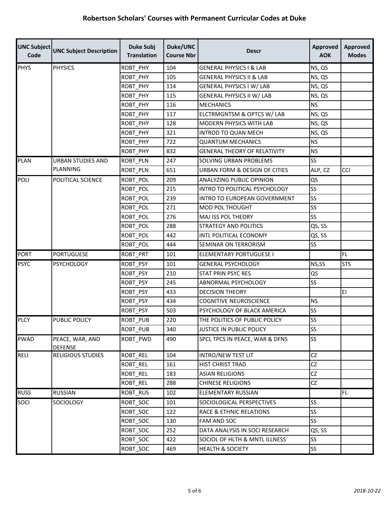| <b>UNC Subject</b><br>Code | <b>UNC Subject Description</b>    | <b>Duke Subj</b><br><b>Translation</b> | Duke/UNC<br><b>Course Nbr</b> | <b>Descr</b>                        | <b>Approved</b><br><b>AOK</b> | <b>Approved</b><br><b>Modes</b> |
|----------------------------|-----------------------------------|----------------------------------------|-------------------------------|-------------------------------------|-------------------------------|---------------------------------|
| <b>PHYS</b>                | <b>PHYSICS</b>                    | ROBT_PHY                               | 104                           | <b>GENERAL PHYSICS I &amp; LAB</b>  | NS, QS                        |                                 |
|                            |                                   | ROBT_PHY                               | 105                           | <b>GENERAL PHYSICS II &amp; LAB</b> | NS, QS                        |                                 |
|                            |                                   | ROBT_PHY                               | 114                           | <b>GENERAL PHYSICS I W/ LAB</b>     | NS, QS                        |                                 |
|                            |                                   | ROBT_PHY                               | 115                           | <b>GENERAL PHYSICS II W/ LAB</b>    | NS, QS                        |                                 |
|                            |                                   | ROBT_PHY                               | 116                           | <b>MECHANICS</b>                    | <b>NS</b>                     |                                 |
|                            |                                   | ROBT_PHY                               | 117                           | ELCTRMGNTSM & OPTCS W/ LAB          | NS, QS                        |                                 |
|                            |                                   | ROBT_PHY                               | 128                           | MODERN PHYSICS WITH LAB             | NS, QS                        |                                 |
|                            |                                   | ROBT_PHY                               | 321                           | INTROD TO QUAN MECH                 | NS, QS                        |                                 |
|                            |                                   | ROBT_PHY                               | 722                           | <b>QUANTUM MECHANICS</b>            | <b>NS</b>                     |                                 |
|                            |                                   | ROBT_PHY                               | 832                           | <b>GENERAL THEORY OF RELATIVITY</b> | <b>NS</b>                     |                                 |
| <b>PLAN</b>                | <b>URBAN STUDIES AND</b>          | <b>ROBT PLN</b>                        | 247                           | SOLVING URBAN PROBLEMS              | <b>SS</b>                     |                                 |
|                            | PLANNING                          | ROBT_PLN                               | 651                           | URBAN FORM & DESIGN OF CITIES       | ALP, CZ                       | <b>CCI</b>                      |
| <b>POLI</b>                | POLITICAL SCIENCE                 | ROBT_POL                               | 209                           | <b>ANALYZING PUBLIC OPINION</b>     | QS                            |                                 |
|                            |                                   | ROBT_POL                               | 215                           | INTRO TO POLITICAL PSYCHOLOGY       | SS                            |                                 |
|                            |                                   | ROBT_POL                               | 239                           | <b>INTRO TO EUROPEAN GOVERNMENT</b> | <b>SS</b>                     |                                 |
|                            |                                   | ROBT_POL                               | 271                           | <b>MOD POL THOUGHT</b>              | SS                            |                                 |
|                            |                                   | ROBT_POL                               | 276                           | MAJ ISS POL THEORY                  | SS                            |                                 |
|                            |                                   | ROBT_POL                               | 288                           | STRATEGY AND POLITICS               | QS, SS                        |                                 |
|                            |                                   | ROBT_POL                               | 442                           | INTL POLITICAL ECONOMY              | QS, SS                        |                                 |
|                            |                                   | ROBT_POL                               | 444                           | SEMINAR ON TERRORISM                | <b>SS</b>                     |                                 |
| <b>PORT</b>                | <b>PORTUGUESE</b>                 | ROBT_PRT                               | 101                           | ELEMENTARY PORTUGUESE I             |                               | FL.                             |
| <b>PSYC</b>                | <b>PSYCHOLOGY</b>                 | ROBT_PSY                               | 101                           | <b>GENERAL PSYCHOLOGY</b>           | NS,SS                         | <b>STS</b>                      |
|                            |                                   | ROBT_PSY                               | 210                           | <b>STAT PRIN PSYC RES</b>           | QS                            |                                 |
|                            |                                   | ROBT_PSY                               | 245                           | ABNORMAL PSYCHOLOGY                 | SS                            |                                 |
|                            |                                   | ROBT_PSY                               | 433                           | <b>DECISION THEORY</b>              |                               | EI                              |
|                            |                                   | ROBT_PSY                               | 434                           | <b>COGNITIVE NEUROSCIENCE</b>       | <b>NS</b>                     |                                 |
|                            |                                   | ROBT_PSY                               | 503                           | PSYCHOLOGY OF BLACK AMERICA         | <b>SS</b>                     |                                 |
| <b>PLCY</b>                | PUBLIC POLICY                     | <b>ROBT PUB</b>                        | 220                           | THE POLITICS OF PUBLIC POLICY       | <b>SS</b>                     |                                 |
|                            |                                   | ROBT_PUB                               | 340                           | <b>JUSTICE IN PUBLIC POLICY</b>     | <b>SS</b>                     |                                 |
| <b>PWAD</b>                | PEACE, WAR, AND<br><b>DEFENSE</b> | ROBT PWD                               | 490                           | SPCL TPCS IN PEACE, WAR & DFNS      | <b>SS</b>                     |                                 |
| RELI                       | RELIGIOUS STUDIES                 | ROBT_REL                               | 104                           | INTRO/NEW TEST LIT                  | CZ                            |                                 |
|                            |                                   | ROBT_REL                               | 161                           | HIST CHRIST TRAD                    | CZ                            |                                 |
|                            |                                   | ROBT_REL                               | 183                           | <b>ASIAN RELIGIONS</b>              | <b>CZ</b>                     |                                 |
|                            |                                   | ROBT_REL                               | 288                           | <b>CHINESE RELIGIONS</b>            | CZ                            |                                 |
| <b>RUSS</b>                | <b>RUSSIAN</b>                    | ROBT_RUS                               | 102                           | ELEMENTARY RUSSIAN                  |                               | FL.                             |
| SOCI                       | SOCIOLOGY                         | ROBT SOC                               | 101                           | SOCIOLOGICAL PERSPECTIVES           | SS                            |                                 |
|                            |                                   | ROBT_SOC                               | 122                           | <b>RACE &amp; ETHNIC RELATIONS</b>  | <b>SS</b>                     |                                 |
|                            |                                   | ROBT_SOC                               | 130                           | FAM AND SOC                         | <b>SS</b>                     |                                 |
|                            |                                   | ROBT_SOC                               | 252                           | DATA ANALYSIS IN SOCI RESEARCH      | QS, SS                        |                                 |
|                            |                                   | ROBT_SOC                               | 422                           | SOCIOL OF HLTH & MNTL ILLNESS       | <b>SS</b>                     |                                 |
|                            |                                   | ROBT_SOC                               | 469                           | <b>HEALTH &amp; SOCIETY</b>         | <b>SS</b>                     |                                 |